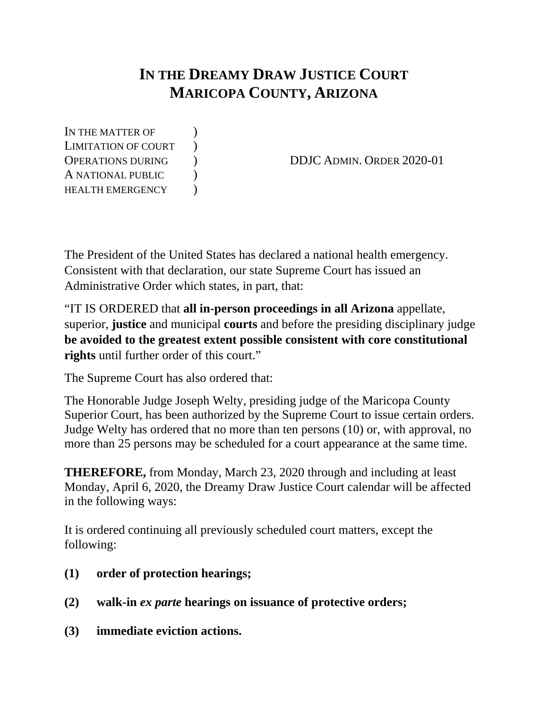# **IN THE DREAMY DRAW JUSTICE COURT MARICOPA COUNTY, ARIZONA**

IN THE MATTER OF  $\qquad$  ) LIMITATION OF COURT ) A NATIONAL PUBLIC ) HEALTH EMERGENCY  $)$ 

OPERATIONS DURING ) DDJC ADMIN. ORDER 2020-01

The President of the United States has declared a national health emergency. Consistent with that declaration, our state Supreme Court has issued an Administrative Order which states, in part, that:

"IT IS ORDERED that **all in-person proceedings in all Arizona** appellate, superior, **justice** and municipal **courts** and before the presiding disciplinary judge **be avoided to the greatest extent possible consistent with core constitutional rights** until further order of this court."

The Supreme Court has also ordered that:

The Honorable Judge Joseph Welty, presiding judge of the Maricopa County Superior Court, has been authorized by the Supreme Court to issue certain orders. Judge Welty has ordered that no more than ten persons (10) or, with approval, no more than 25 persons may be scheduled for a court appearance at the same time.

**THEREFORE,** from Monday, March 23, 2020 through and including at least Monday, April 6, 2020, the Dreamy Draw Justice Court calendar will be affected in the following ways:

It is ordered continuing all previously scheduled court matters, except the following:

- **(1) order of protection hearings;**
- **(2) walk-in** *ex parte* **hearings on issuance of protective orders;**
- **(3) immediate eviction actions.**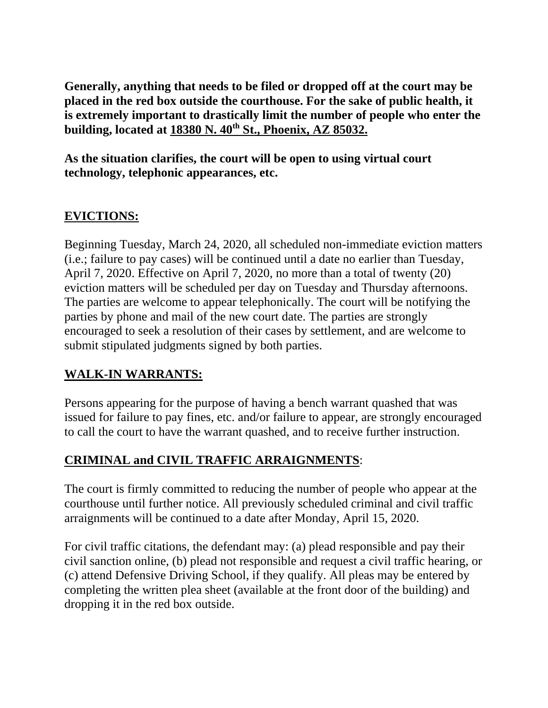**Generally, anything that needs to be filed or dropped off at the court may be placed in the red box outside the courthouse. For the sake of public health, it is extremely important to drastically limit the number of people who enter the building, located at 18380 N. 40th St., Phoenix, AZ 85032.**

**As the situation clarifies, the court will be open to using virtual court technology, telephonic appearances, etc.**

## **EVICTIONS:**

Beginning Tuesday, March 24, 2020, all scheduled non-immediate eviction matters (i.e.; failure to pay cases) will be continued until a date no earlier than Tuesday, April 7, 2020. Effective on April 7, 2020, no more than a total of twenty (20) eviction matters will be scheduled per day on Tuesday and Thursday afternoons. The parties are welcome to appear telephonically. The court will be notifying the parties by phone and mail of the new court date. The parties are strongly encouraged to seek a resolution of their cases by settlement, and are welcome to submit stipulated judgments signed by both parties.

#### **WALK-IN WARRANTS:**

Persons appearing for the purpose of having a bench warrant quashed that was issued for failure to pay fines, etc. and/or failure to appear, are strongly encouraged to call the court to have the warrant quashed, and to receive further instruction.

#### **CRIMINAL and CIVIL TRAFFIC ARRAIGNMENTS**:

The court is firmly committed to reducing the number of people who appear at the courthouse until further notice. All previously scheduled criminal and civil traffic arraignments will be continued to a date after Monday, April 15, 2020.

For civil traffic citations, the defendant may: (a) plead responsible and pay their civil sanction online, (b) plead not responsible and request a civil traffic hearing, or (c) attend Defensive Driving School, if they qualify. All pleas may be entered by completing the written plea sheet (available at the front door of the building) and dropping it in the red box outside.